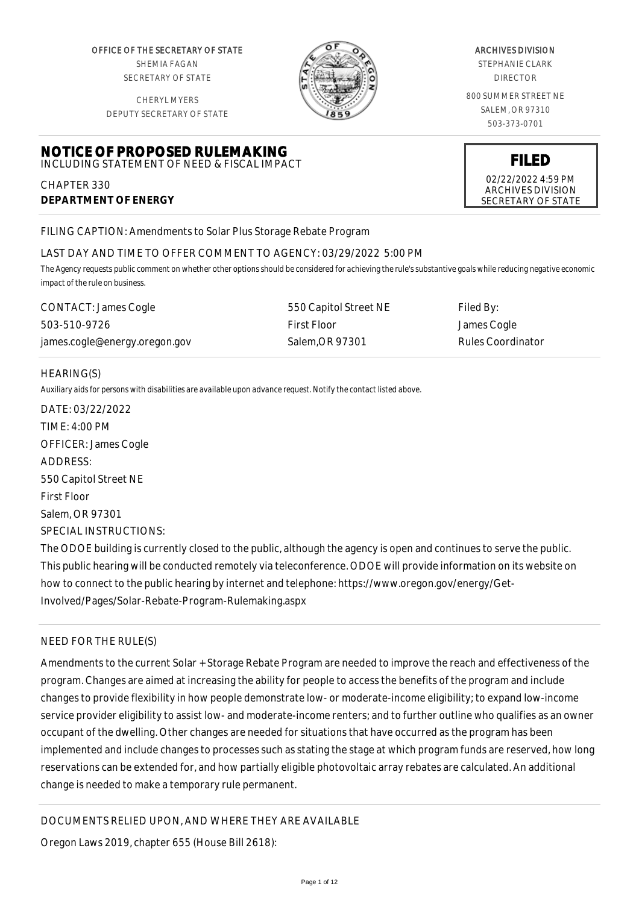OFFICE OF THE SECRETARY OF STATE SHEMIA FAGAN SECRETARY OF STATE

CHERYL MYERS DEPUTY SECRETARY OF STATE

**NOTICE OF PROPOSED RULEMAKING** INCLUDING STATEMENT OF NEED & FISCAL IMPACT



#### ARCHIVES DIVISION

STEPHANIE CLARK DIRECTOR

800 SUMMER STREET NE SALEM, OR 97310 503-373-0701

**FILED**

02/22/2022 4:59 PM ARCHIVES DIVISION SECRETARY OF STATE

FILING CAPTION: Amendments to Solar Plus Storage Rebate Program

# LAST DAY AND TIME TO OFFER COMMENT TO AGENCY: 03/29/2022 5:00 PM

*The Agency requests public comment on whether other options should be considered for achieving the rule's substantive goals while reducing negative economic impact of the rule on business.*

| CONTACT: James Cogle          | 550 Capitol Street NE | Filed By:         |
|-------------------------------|-----------------------|-------------------|
| 503-510-9726                  | First Floor           | James Cogle       |
| james.cogle@energy.oregon.gov | Salem.OR 97301        | Rules Coordinator |

### HEARING(S)

CHAPTER 330

**DEPARTMENT OF ENERGY**

*Auxiliary aids for persons with disabilities are available upon advance request. Notify the contact listed above.*

DATE: 03/22/2022 TIME: 4:00 PM OFFICER: James Cogle ADDRESS: 550 Capitol Street NE First Floor Salem, OR 97301 SPECIAL INSTRUCTIONS: The ODOE building is currently closed to the public, although the agency is open and continues to serve the public.

This public hearing will be conducted remotely via teleconference. ODOE will provide information on its website on how to connect to the public hearing by internet and telephone: https://www.oregon.gov/energy/Get-Involved/Pages/Solar-Rebate-Program-Rulemaking.aspx

### NEED FOR THE RULE(S)

Amendments to the current Solar + Storage Rebate Program are needed to improve the reach and effectiveness of the program. Changes are aimed at increasing the ability for people to access the benefits of the program and include changes to provide flexibility in how people demonstrate low- or moderate-income eligibility; to expand low-income service provider eligibility to assist low- and moderate-income renters; and to further outline who qualifies as an owner occupant of the dwelling. Other changes are needed for situations that have occurred as the program has been implemented and include changes to processes such as stating the stage at which program funds are reserved, how long reservations can be extended for, and how partially eligible photovoltaic array rebates are calculated. An additional change is needed to make a temporary rule permanent.

DOCUMENTS RELIED UPON, AND WHERE THEY ARE AVAILABLE

Oregon Laws 2019, chapter 655 (House Bill 2618):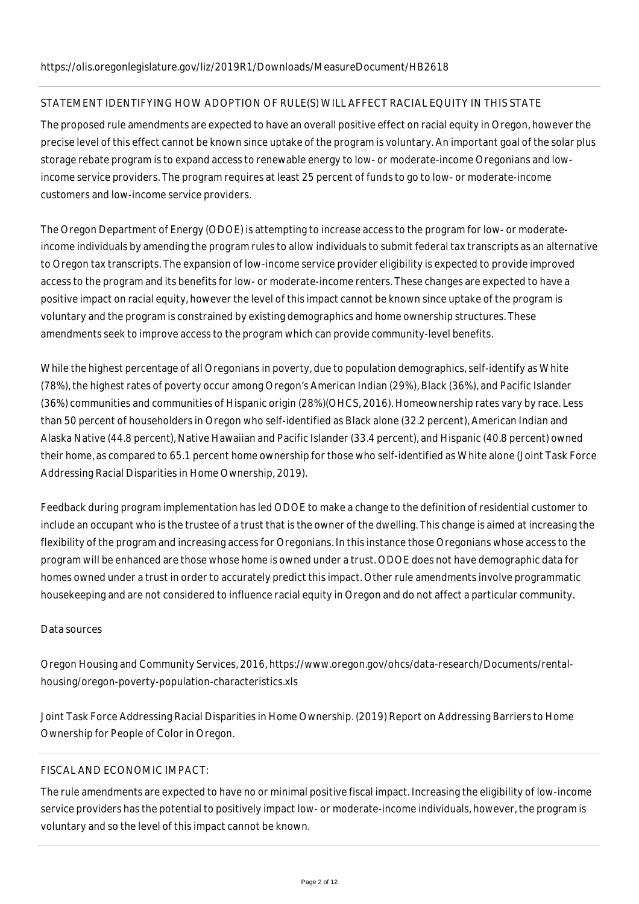# STATEMENT IDENTIFYING HOW ADOPTION OF RULE(S) WILL AFFECT RACIAL EQUITY IN THIS STATE

The proposed rule amendments are expected to have an overall positive effect on racial equity in Oregon, however the precise level of this effect cannot be known since uptake of the program is voluntary. An important goal of the solar plus storage rebate program is to expand access to renewable energy to low- or moderate-income Oregonians and lowincome service providers. The program requires at least 25 percent of funds to go to low- or moderate-income customers and low-income service providers.

The Oregon Department of Energy (ODOE) is attempting to increase access to the program for low- or moderateincome individuals by amending the program rules to allow individuals to submit federal tax transcripts as an alternative to Oregon tax transcripts. The expansion of low-income service provider eligibility is expected to provide improved access to the program and its benefits for low- or moderate-income renters. These changes are expected to have a positive impact on racial equity, however the level of this impact cannot be known since uptake of the program is voluntary and the program is constrained by existing demographics and home ownership structures. These amendments seek to improve access to the program which can provide community-level benefits.

While the highest percentage of all Oregonians in poverty, due to population demographics, self-identify as White (78%), the highest rates of poverty occur among Oregon's American Indian (29%), Black (36%), and Pacific Islander (36%) communities and communities of Hispanic origin (28%)(OHCS, 2016). Homeownership rates vary by race. Less than 50 percent of householders in Oregon who self-identified as Black alone (32.2 percent), American Indian and Alaska Native (44.8 percent), Native Hawaiian and Pacific Islander (33.4 percent), and Hispanic (40.8 percent) owned their home, as compared to 65.1 percent home ownership for those who self-identified as White alone (Joint Task Force Addressing Racial Disparities in Home Ownership, 2019).

Feedback during program implementation has led ODOE to make a change to the definition of residential customer to include an occupant who is the trustee of a trust that is the owner of the dwelling. This change is aimed at increasing the flexibility of the program and increasing access for Oregonians. In this instance those Oregonians whose access to the program will be enhanced are those whose home is owned under a trust. ODOE does not have demographic data for homes owned under a trust in order to accurately predict this impact. Other rule amendments involve programmatic housekeeping and are not considered to influence racial equity in Oregon and do not affect a particular community.

# Data sources

Oregon Housing and Community Services, 2016, https://www.oregon.gov/ohcs/data-research/Documents/rentalhousing/oregon-poverty-population-characteristics.xls

Joint Task Force Addressing Racial Disparities in Home Ownership. (2019) Report on Addressing Barriers to Home Ownership for People of Color in Oregon.

# FISCAL AND ECONOMIC IMPACT:

The rule amendments are expected to have no or minimal positive fiscal impact. Increasing the eligibility of low-income service providers has the potential to positively impact low- or moderate-income individuals, however, the program is voluntary and so the level of this impact cannot be known.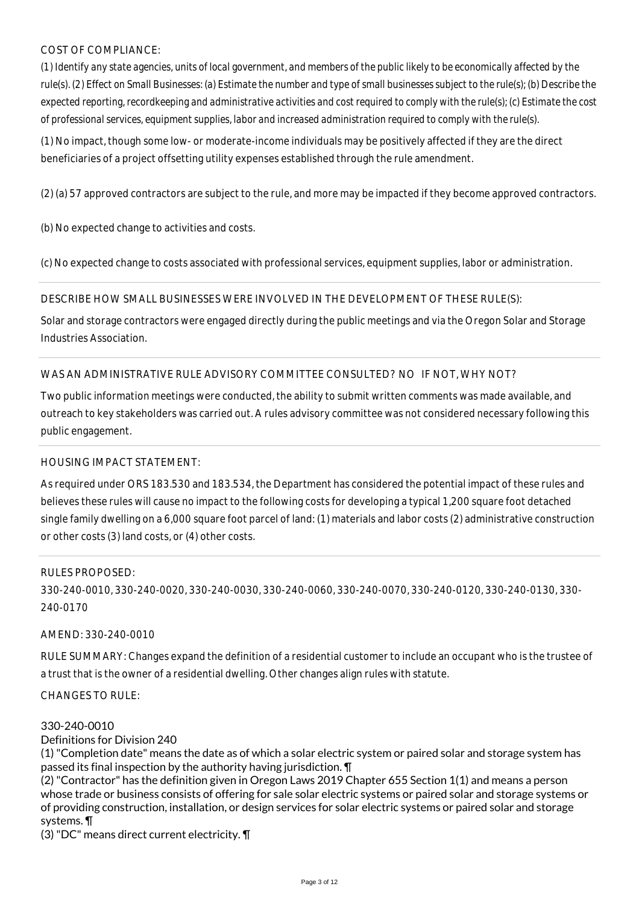## COST OF COMPLIANCE:

*(1) Identify any state agencies, units of local government, and members of the public likely to be economically affected by the rule(s). (2) Effect on Small Businesses: (a) Estimate the number and type of small businesses subject to the rule(s); (b) Describe the expected reporting, recordkeeping and administrative activities and cost required to comply with the rule(s); (c) Estimate the cost of professional services, equipment supplies, labor and increased administration required to comply with the rule(s).*

(1) No impact, though some low- or moderate-income individuals may be positively affected if they are the direct beneficiaries of a project offsetting utility expenses established through the rule amendment.

(2) (a) 57 approved contractors are subject to the rule, and more may be impacted if they become approved contractors.

(b) No expected change to activities and costs.

(c) No expected change to costs associated with professional services, equipment supplies, labor or administration.

DESCRIBE HOW SMALL BUSINESSES WERE INVOLVED IN THE DEVELOPMENT OF THESE RULE(S):

Solar and storage contractors were engaged directly during the public meetings and via the Oregon Solar and Storage Industries Association.

WAS AN ADMINISTRATIVE RULE ADVISORY COMMITTEE CONSULTED? NO IF NOT, WHY NOT?

Two public information meetings were conducted, the ability to submit written comments was made available, and outreach to key stakeholders was carried out. A rules advisory committee was not considered necessary following this public engagement.

### HOUSING IMPACT STATEMENT:

As required under ORS 183.530 and 183.534, the Department has considered the potential impact of these rules and believes these rules will cause no impact to the following costs for developing a typical 1,200 square foot detached single family dwelling on a 6,000 square foot parcel of land: (1) materials and labor costs (2) administrative construction or other costs (3) land costs, or (4) other costs.

### RULES PROPOSED:

330-240-0010, 330-240-0020, 330-240-0030, 330-240-0060, 330-240-0070, 330-240-0120, 330-240-0130, 330- 240-0170

### AMEND: 330-240-0010

RULE SUMMARY: Changes expand the definition of a residential customer to include an occupant who is the trustee of a trust that is the owner of a residential dwelling. Other changes align rules with statute.

CHANGES TO RULE:

### 330-240-0010

### Definitions for Division 240

(1) "Completion date" means the date as of which a solar electric system or paired solar and storage system has passed its final inspection by the authority having jurisdiction. ¶

(2) "Contractor" has the definition given in Oregon Laws 2019 Chapter 655 Section 1(1) and means a person whose trade or business consists of offering for sale solar electric systems or paired solar and storage systems or of providing construction, installation, or design services for solar electric systems or paired solar and storage systems. ¶

(3) "DC" means direct current electricity. ¶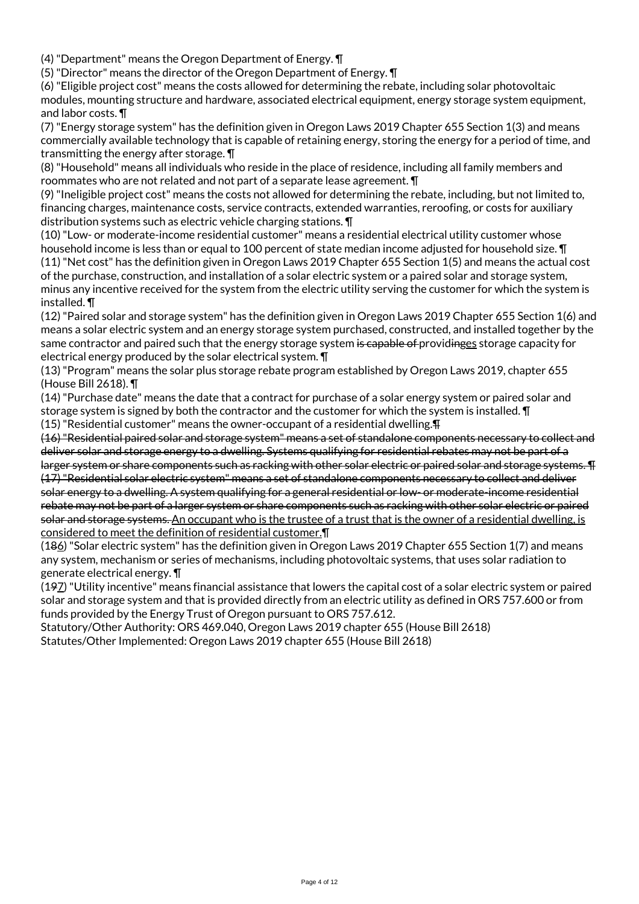(4) "Department" means the Oregon Department of Energy. ¶

(5) "Director" means the director of the Oregon Department of Energy. ¶

(6) "Eligible project cost" means the costs allowed for determining the rebate, including solar photovoltaic modules, mounting structure and hardware, associated electrical equipment, energy storage system equipment, and labor costs. ¶

(7) "Energy storage system" has the definition given in Oregon Laws 2019 Chapter 655 Section 1(3) and means commercially available technology that is capable of retaining energy, storing the energy for a period of time, and transmitting the energy after storage. ¶

(8) "Household" means all individuals who reside in the place of residence, including all family members and roommates who are not related and not part of a separate lease agreement. ¶

(9) "Ineligible project cost" means the costs not allowed for determining the rebate, including, but not limited to, financing charges, maintenance costs, service contracts, extended warranties, reroofing, or costs for auxiliary distribution systems such as electric vehicle charging stations. ¶

(10) "Low- or moderate-income residential customer" means a residential electrical utility customer whose household income is less than or equal to 100 percent of state median income adjusted for household size. **T** (11) "Net cost" has the definition given in Oregon Laws 2019 Chapter 655 Section 1(5) and means the actual cost of the purchase, construction, and installation of a solar electric system or a paired solar and storage system, minus any incentive received for the system from the electric utility serving the customer for which the system is installed. ¶

(12) "Paired solar and storage system" has the definition given in Oregon Laws 2019 Chapter 655 Section 1(6) and means a solar electric system and an energy storage system purchased, constructed, and installed together by the same contractor and paired such that the energy storage system is capable of providinges storage capacity for electrical energy produced by the solar electrical system. ¶

(13) "Program" means the solar plus storage rebate program established by Oregon Laws 2019, chapter 655 (House Bill 2618). ¶

(14) "Purchase date" means the date that a contract for purchase of a solar energy system or paired solar and storage system is signed by both the contractor and the customer for which the system is installed. ¶

(15) "Residential customer" means the owner-occupant of a residential dwelling.¶

(16) "Residential paired solar and storage system" means a set of standalone components necessary to collect and deliver solar and storage energy to a dwelling. Systems qualifying for residential rebates may not be part of a larger system or share components such as racking with other solar electric or paired solar and storage systems. ¶ (17) "Residential solar electric system" means a set of standalone components necessary to collect and deliver solar energy to a dwelling. A system qualifying for a general residential or low- or moderate-income residential rebate may not be part of a larger system or share components such as racking with other solar electric or paired solar and storage systems. An occupant who is the trustee of a trust that is the owner of a residential dwelling, is considered to meet the definition of residential customer.¶

(186) "Solar electric system" has the definition given in Oregon Laws 2019 Chapter 655 Section 1(7) and means any system, mechanism or series of mechanisms, including photovoltaic systems, that uses solar radiation to generate electrical energy. ¶

(197) "Utility incentive" means financial assistance that lowers the capital cost of a solar electric system or paired solar and storage system and that is provided directly from an electric utility as defined in ORS 757.600 or from funds provided by the Energy Trust of Oregon pursuant to ORS 757.612.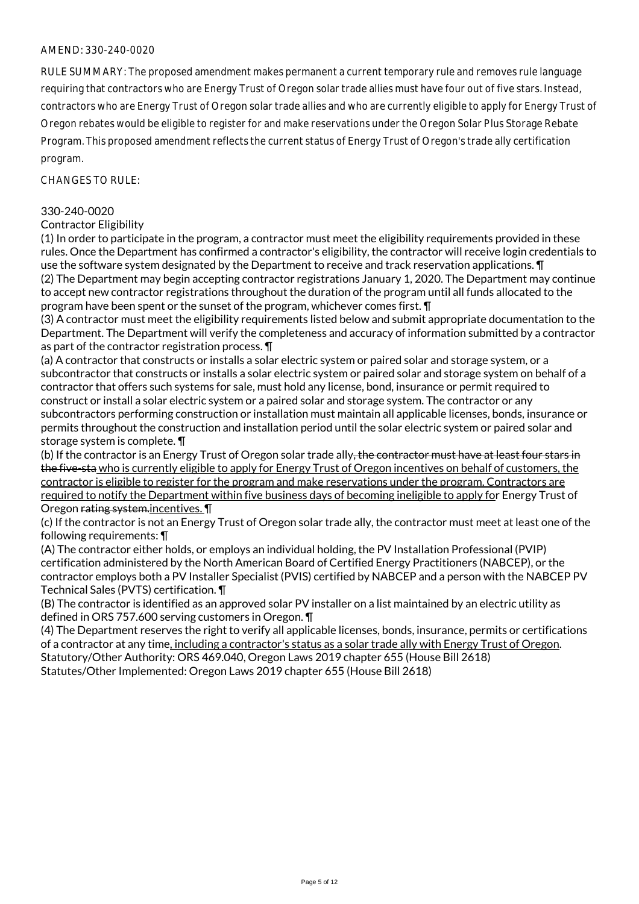RULE SUMMARY: The proposed amendment makes permanent a current temporary rule and removes rule language requiring that contractors who are Energy Trust of Oregon solar trade allies must have four out of five stars. Instead, contractors who are Energy Trust of Oregon solar trade allies and who are currently eligible to apply for Energy Trust of Oregon rebates would be eligible to register for and make reservations under the Oregon Solar Plus Storage Rebate Program. This proposed amendment reflects the current status of Energy Trust of Oregon's trade ally certification program.

CHANGES TO RULE:

### 330-240-0020

## Contractor Eligibility

(1) In order to participate in the program, a contractor must meet the eligibility requirements provided in these rules. Once the Department has confirmed a contractor's eligibility, the contractor will receive login credentials to use the software system designated by the Department to receive and track reservation applications. ¶ (2) The Department may begin accepting contractor registrations January 1, 2020. The Department may continue to accept new contractor registrations throughout the duration of the program until all funds allocated to the program have been spent or the sunset of the program, whichever comes first. ¶

(3) A contractor must meet the eligibility requirements listed below and submit appropriate documentation to the Department. The Department will verify the completeness and accuracy of information submitted by a contractor as part of the contractor registration process. ¶

(a) A contractor that constructs or installs a solar electric system or paired solar and storage system, or a subcontractor that constructs or installs a solar electric system or paired solar and storage system on behalf of a contractor that offers such systems for sale, must hold any license, bond, insurance or permit required to construct or install a solar electric system or a paired solar and storage system. The contractor or any subcontractors performing construction or installation must maintain all applicable licenses, bonds, insurance or permits throughout the construction and installation period until the solar electric system or paired solar and storage system is complete. ¶

(b) If the contractor is an Energy Trust of Oregon solar trade ally<del>, the contractor must have at least four stars in</del> the five-sta who is currently eligible to apply for Energy Trust of Oregon incentives on behalf of customers, the contractor is eligible to register for the program and make reservations under the program. Contractors are required to notify the Department within five business days of becoming ineligible to apply for Energy Trust of Oregon rating system.incentives. ¶

(c) If the contractor is not an Energy Trust of Oregon solar trade ally, the contractor must meet at least one of the following requirements: ¶

(A) The contractor either holds, or employs an individual holding, the PV Installation Professional (PVIP) certification administered by the North American Board of Certified Energy Practitioners (NABCEP), or the contractor employs both a PV Installer Specialist (PVIS) certified by NABCEP and a person with the NABCEP PV Technical Sales (PVTS) certification. ¶

(B) The contractor is identified as an approved solar PV installer on a list maintained by an electric utility as defined in ORS 757.600 serving customers in Oregon. ¶

(4) The Department reserves the right to verify all applicable licenses, bonds, insurance, permits or certifications of a contractor at any time, including a contractor's status as a solar trade ally with Energy Trust of Oregon. Statutory/Other Authority: ORS 469.040, Oregon Laws 2019 chapter 655 (House Bill 2618) Statutes/Other Implemented: Oregon Laws 2019 chapter 655 (House Bill 2618)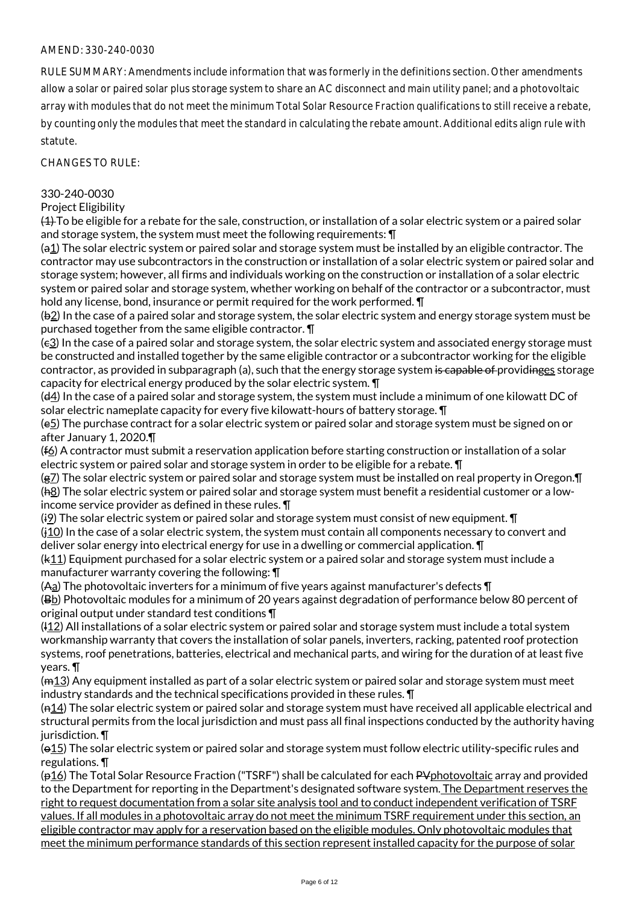RULE SUMMARY: Amendments include information that was formerly in the definitions section. Other amendments allow a solar or paired solar plus storage system to share an AC disconnect and main utility panel; and a photovoltaic array with modules that do not meet the minimum Total Solar Resource Fraction qualifications to still receive a rebate, by counting only the modules that meet the standard in calculating the rebate amount. Additional edits align rule with statute.

CHANGES TO RULE:

### 330-240-0030

#### Project Eligibility

 $(4)$  To be eligible for a rebate for the sale, construction, or installation of a solar electric system or a paired solar and storage system, the system must meet the following requirements: ¶

 $(a_1)$  The solar electric system or paired solar and storage system must be installed by an eligible contractor. The contractor may use subcontractors in the construction or installation of a solar electric system or paired solar and storage system; however, all firms and individuals working on the construction or installation of a solar electric system or paired solar and storage system, whether working on behalf of the contractor or a subcontractor, must hold any license, bond, insurance or permit required for the work performed. ¶

(b2) In the case of a paired solar and storage system, the solar electric system and energy storage system must be purchased together from the same eligible contractor. ¶

(c3) In the case of a paired solar and storage system, the solar electric system and associated energy storage must be constructed and installed together by the same eligible contractor or a subcontractor working for the eligible contractor, as provided in subparagraph (a), such that the energy storage system is capable of providinges storage capacity for electrical energy produced by the solar electric system. ¶

(d4) In the case of a paired solar and storage system, the system must include a minimum of one kilowatt DC of solar electric nameplate capacity for every five kilowatt-hours of battery storage. ¶

(e5) The purchase contract for a solar electric system or paired solar and storage system must be signed on or after January 1, 2020.¶

 $(f_0)$  A contractor must submit a reservation application before starting construction or installation of a solar electric system or paired solar and storage system in order to be eligible for a rebate. ¶

(g7) The solar electric system or paired solar and storage system must be installed on real property in Oregon. [ (h8) The solar electric system or paired solar and storage system must benefit a residential customer or a lowincome service provider as defined in these rules. ¶

(i9) The solar electric system or paired solar and storage system must consist of new equipment.  $\P$ 

 $(j10)$  In the case of a solar electric system, the system must contain all components necessary to convert and deliver solar energy into electrical energy for use in a dwelling or commercial application. ¶

 $(k_11)$  Equipment purchased for a solar electric system or a paired solar and storage system must include a manufacturer warranty covering the following: ¶

(Aa) The photovoltaic inverters for a minimum of five years against manufacturer's defects ¶

(Bb) Photovoltaic modules for a minimum of 20 years against degradation of performance below 80 percent of original output under standard test conditions ¶

(l12) All installations of a solar electric system or paired solar and storage system must include a total system workmanship warranty that covers the installation of solar panels, inverters, racking, patented roof protection systems, roof penetrations, batteries, electrical and mechanical parts, and wiring for the duration of at least five years. ¶

(m13) Any equipment installed as part of a solar electric system or paired solar and storage system must meet industry standards and the technical specifications provided in these rules. ¶

(n14) The solar electric system or paired solar and storage system must have received all applicable electrical and structural permits from the local jurisdiction and must pass all final inspections conducted by the authority having jurisdiction. **T** 

(o15) The solar electric system or paired solar and storage system must follow electric utility-specific rules and regulations. ¶

(p16) The Total Solar Resource Fraction ("TSRF") shall be calculated for each PV photovoltaic array and provided to the Department for reporting in the Department's designated software system. The Department reserves the right to request documentation from a solar site analysis tool and to conduct independent verification of TSRF values. If all modules in a photovoltaic array do not meet the minimum TSRF requirement under this section, an eligible contractor may apply for a reservation based on the eligible modules. Only photovoltaic modules that meet the minimum performance standards of this section represent installed capacity for the purpose of solar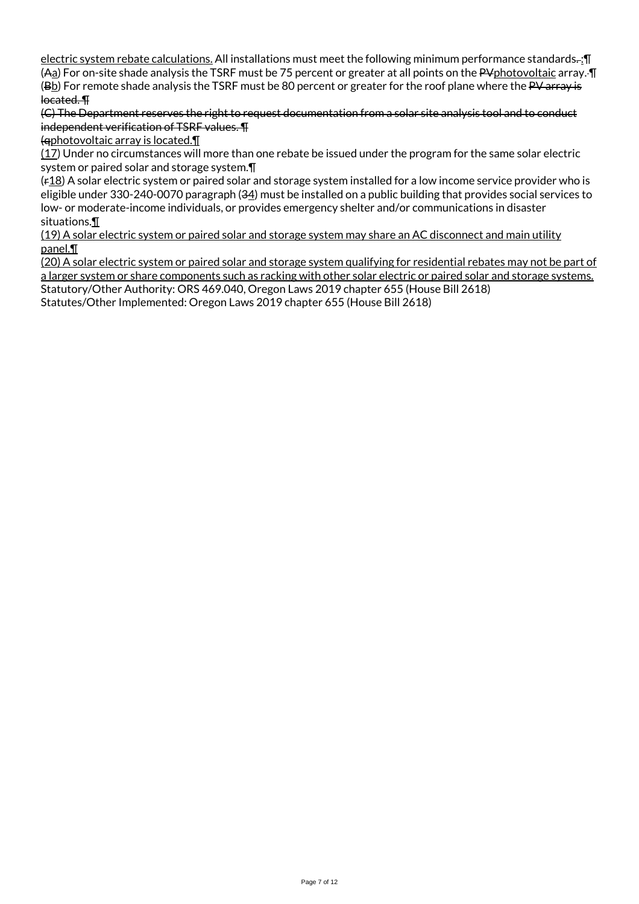electric system rebate calculations. All installations must meet the following minimum performance standards. : [ (Aa) For on-site shade analysis the TSRF must be 75 percent or greater at all points on the PVphotovoltaic array.  $\P$ (Bb) For remote shade analysis the TSRF must be 80 percent or greater for the roof plane where the PV array is located. ¶

(C) The Department reserves the right to request documentation from a solar site analysis tool and to conduct independent verification of TSRF values. ¶

(qphotovoltaic array is located.¶

(17) Under no circumstances will more than one rebate be issued under the program for the same solar electric system or paired solar and storage system.¶

 $(F_1B)$  A solar electric system or paired solar and storage system installed for a low income service provider who is eligible under 330-240-0070 paragraph (34) must be installed on a public building that provides social services to low- or moderate-income individuals, or provides emergency shelter and/or communications in disaster situations.¶

(19) A solar electric system or paired solar and storage system may share an AC disconnect and main utility panel.¶

(20) A solar electric system or paired solar and storage system qualifying for residential rebates may not be part of a larger system or share components such as racking with other solar electric or paired solar and storage systems. Statutory/Other Authority: ORS 469.040, Oregon Laws 2019 chapter 655 (House Bill 2618) Statutes/Other Implemented: Oregon Laws 2019 chapter 655 (House Bill 2618)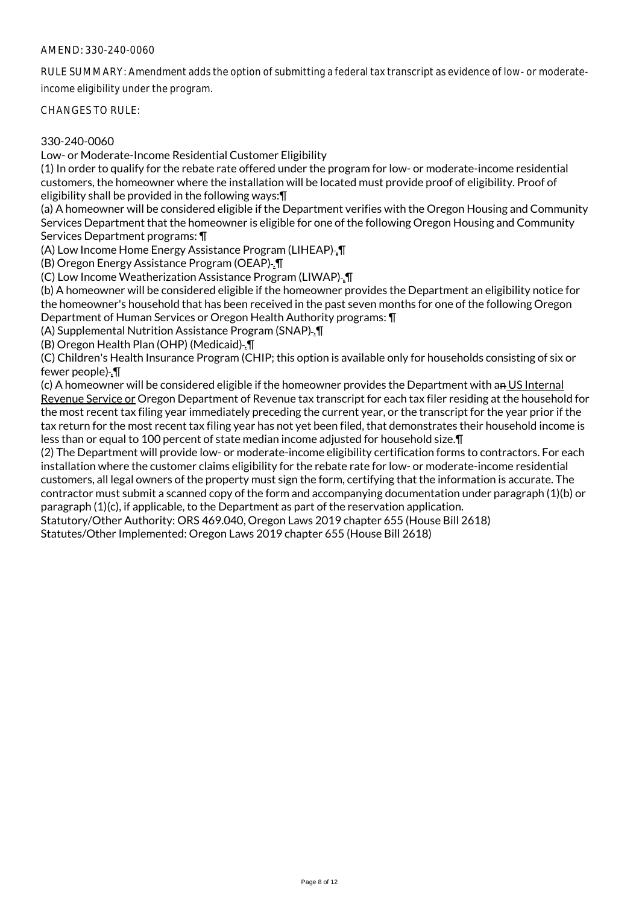RULE SUMMARY: Amendment adds the option of submitting a federal tax transcript as evidence of low- or moderateincome eligibility under the program.

CHANGES TO RULE:

## 330-240-0060

Low- or Moderate-Income Residential Customer Eligibility

(1) In order to qualify for the rebate rate offered under the program for low- or moderate-income residential customers, the homeowner where the installation will be located must provide proof of eligibility. Proof of eligibility shall be provided in the following ways:¶

(a) A homeowner will be considered eligible if the Department verifies with the Oregon Housing and Community Services Department that the homeowner is eligible for one of the following Oregon Housing and Community Services Department programs: ¶

(A) Low Income Home Energy Assistance Program (LIHEAP) .¶

(B) Oregon Energy Assistance Program (OEAP)-1

(C) Low Income Weatherization Assistance Program (LIWAP) .¶

(b) A homeowner will be considered eligible if the homeowner provides the Department an eligibility notice for the homeowner's household that has been received in the past seven months for one of the following Oregon Department of Human Services or Oregon Health Authority programs: ¶

(A) Supplemental Nutrition Assistance Program (SNAP) .¶

(B) Oregon Health Plan (OHP) (Medicaid) .¶

(C) Children's Health Insurance Program (CHIP; this option is available only for households consisting of six or fewer people) . **T** 

(c) A homeowner will be considered eligible if the homeowner provides the Department with an US Internal Revenue Service or Oregon Department of Revenue tax transcript for each tax filer residing at the household for the most recent tax filing year immediately preceding the current year, or the transcript for the year prior if the tax return for the most recent tax filing year has not yet been filed, that demonstrates their household income is less than or equal to 100 percent of state median income adjusted for household size.¶

(2) The Department will provide low- or moderate-income eligibility certification forms to contractors. For each installation where the customer claims eligibility for the rebate rate for low- or moderate-income residential customers, all legal owners of the property must sign the form, certifying that the information is accurate. The contractor must submit a scanned copy of the form and accompanying documentation under paragraph (1)(b) or paragraph (1)(c), if applicable, to the Department as part of the reservation application.

Statutory/Other Authority: ORS 469.040, Oregon Laws 2019 chapter 655 (House Bill 2618)

Statutes/Other Implemented: Oregon Laws 2019 chapter 655 (House Bill 2618)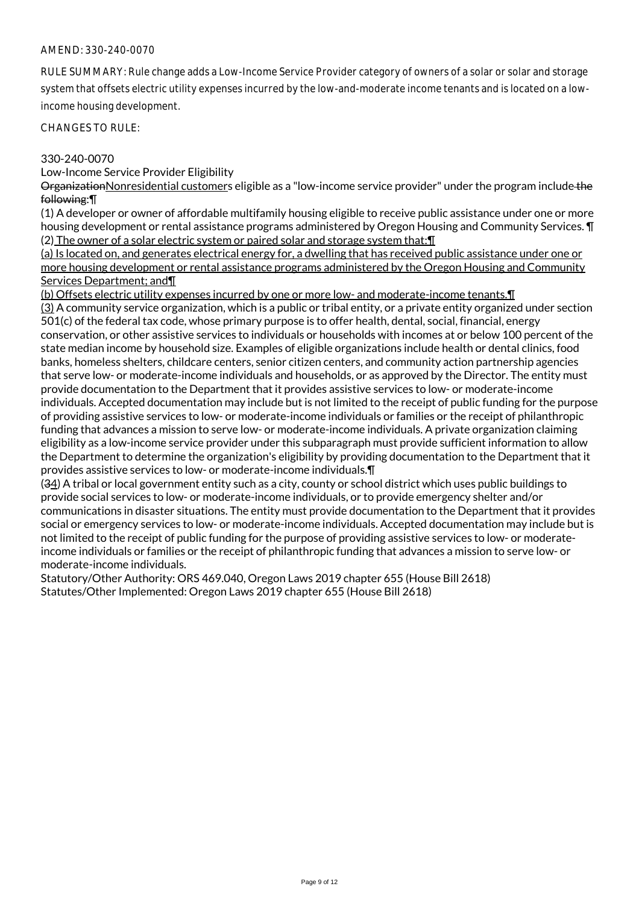RULE SUMMARY: Rule change adds a Low-Income Service Provider category of owners of a solar or solar and storage system that offsets electric utility expenses incurred by the low-and-moderate income tenants and is located on a lowincome housing development.

CHANGES TO RULE:

### 330-240-0070

Low-Income Service Provider Eligibility

OrganizationNonresidential customers eligible as a "low-income service provider" under the program include the following:¶

(1) A developer or owner of affordable multifamily housing eligible to receive public assistance under one or more housing development or rental assistance programs administered by Oregon Housing and Community Services. ¶ (2) The owner of a solar electric system or paired solar and storage system that:¶

(a) Is located on, and generates electrical energy for, a dwelling that has received public assistance under one or more housing development or rental assistance programs administered by the Oregon Housing and Community Services Department; and¶

(b) Offsets electric utility expenses incurred by one or more low- and moderate-income tenants.¶

(3) A community service organization, which is a public or tribal entity, or a private entity organized under section 501(c) of the federal tax code, whose primary purpose is to offer health, dental, social, financial, energy conservation, or other assistive services to individuals or households with incomes at or below 100 percent of the state median income by household size. Examples of eligible organizations include health or dental clinics, food banks, homeless shelters, childcare centers, senior citizen centers, and community action partnership agencies that serve low- or moderate-income individuals and households, or as approved by the Director. The entity must provide documentation to the Department that it provides assistive services to low- or moderate-income individuals. Accepted documentation may include but is not limited to the receipt of public funding for the purpose of providing assistive services to low- or moderate-income individuals or families or the receipt of philanthropic funding that advances a mission to serve low- or moderate-income individuals. A private organization claiming eligibility as a low-income service provider under this subparagraph must provide sufficient information to allow the Department to determine the organization's eligibility by providing documentation to the Department that it provides assistive services to low- or moderate-income individuals.¶

(34) A tribal or local government entity such as a city, county or school district which uses public buildings to provide social services to low- or moderate-income individuals, or to provide emergency shelter and/or communications in disaster situations. The entity must provide documentation to the Department that it provides social or emergency services to low- or moderate-income individuals. Accepted documentation may include but is not limited to the receipt of public funding for the purpose of providing assistive services to low- or moderateincome individuals or families or the receipt of philanthropic funding that advances a mission to serve low- or moderate-income individuals.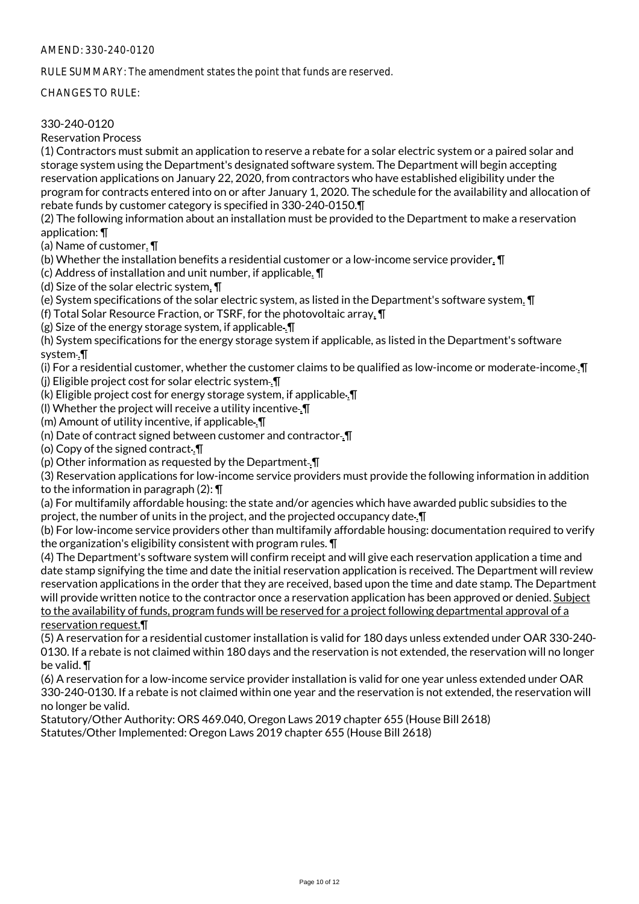RULE SUMMARY: The amendment states the point that funds are reserved.

CHANGES TO RULE:

## 330-240-0120

Reservation Process

(1) Contractors must submit an application to reserve a rebate for a solar electric system or a paired solar and storage system using the Department's designated software system. The Department will begin accepting reservation applications on January 22, 2020, from contractors who have established eligibility under the program for contracts entered into on or after January 1, 2020. The schedule for the availability and allocation of rebate funds by customer category is specified in 330-240-0150.¶

(2) The following information about an installation must be provided to the Department to make a reservation application: ¶

(a) Name of customer. ¶

(b) Whether the installation benefits a residential customer or a low-income service provider. ¶

(c) Address of installation and unit number, if applicable. ¶

(d) Size of the solar electric system. ¶

(e) System specifications of the solar electric system, as listed in the Department's software system. ¶

(f) Total Solar Resource Fraction, or TSRF, for the photovoltaic array. ¶

(g) Size of the energy storage system, if applicable. $\P$ 

(h) System specifications for the energy storage system if applicable, as listed in the Department's software system .¶

(i) For a residential customer, whether the customer claims to be qualified as low-income or moderate-income .¶

(j) Eligible project cost for solar electric system .¶

(k) Eligible project cost for energy storage system, if applicable .¶

(I) Whether the project will receive a utility incentive. $\P$ 

(m) Amount of utility incentive, if applicable .¶

(n) Date of contract signed between customer and contractor .¶

(o) Copy of the signed contract .¶

(p) Other information as requested by the Department .¶

(3) Reservation applications for low-income service providers must provide the following information in addition to the information in paragraph (2): ¶

(a) For multifamily affordable housing: the state and/or agencies which have awarded public subsidies to the project, the number of units in the project, and the projected occupancy date .¶

(b) For low-income service providers other than multifamily affordable housing: documentation required to verify the organization's eligibility consistent with program rules. ¶

(4) The Department's software system will confirm receipt and will give each reservation application a time and date stamp signifying the time and date the initial reservation application is received. The Department will review reservation applications in the order that they are received, based upon the time and date stamp. The Department will provide written notice to the contractor once a reservation application has been approved or denied. Subject to the availability of funds, program funds will be reserved for a project following departmental approval of a reservation request.¶

(5) A reservation for a residential customer installation is valid for 180 days unless extended under OAR 330-240- 0130. If a rebate is not claimed within 180 days and the reservation is not extended, the reservation will no longer be valid. ¶

(6) A reservation for a low-income service provider installation is valid for one year unless extended under OAR 330-240-0130. If a rebate is not claimed within one year and the reservation is not extended, the reservation will no longer be valid.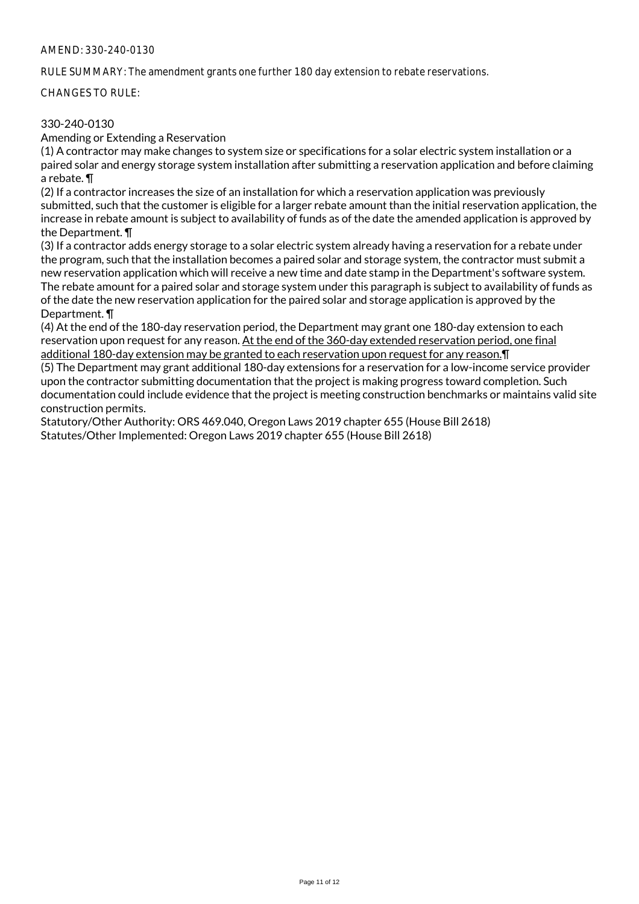RULE SUMMARY: The amendment grants one further 180 day extension to rebate reservations.

CHANGES TO RULE:

## 330-240-0130

Amending or Extending a Reservation

(1) A contractor may make changes to system size or specifications for a solar electric system installation or a paired solar and energy storage system installation after submitting a reservation application and before claiming a rebate. ¶

(2) If a contractor increases the size of an installation for which a reservation application was previously submitted, such that the customer is eligible for a larger rebate amount than the initial reservation application, the increase in rebate amount is subject to availability of funds as of the date the amended application is approved by the Department. ¶

(3) If a contractor adds energy storage to a solar electric system already having a reservation for a rebate under the program, such that the installation becomes a paired solar and storage system, the contractor must submit a new reservation application which will receive a new time and date stamp in the Department's software system. The rebate amount for a paired solar and storage system under this paragraph is subject to availability of funds as of the date the new reservation application for the paired solar and storage application is approved by the Department. ¶

(4) At the end of the 180-day reservation period, the Department may grant one 180-day extension to each reservation upon request for any reason. At the end of the 360-day extended reservation period, one final additional 180-day extension may be granted to each reservation upon request for any reason.¶

(5) The Department may grant additional 180-day extensions for a reservation for a low-income service provider upon the contractor submitting documentation that the project is making progress toward completion. Such documentation could include evidence that the project is meeting construction benchmarks or maintains valid site construction permits.